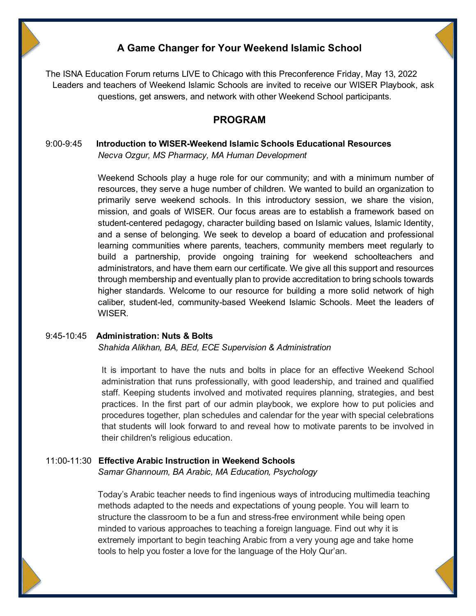## **A Game Changer for Your Weekend Islamic School**

The ISNA Education Forum returns LIVE to Chicago with this Preconference Friday, May 13, 2022 Leaders and teachers of Weekend Islamic Schools are invited to receive our WISER Playbook, ask questions, get answers, and network with other Weekend School participants.

## **PROGRAM**

### 9:00-9:45 **Introduction to WISER-Weekend Islamic Schools Educational Resources** *Necva Ozgur, MS Pharmacy, MA Human Development*

Weekend Schools play a huge role for our community; and with a minimum number of resources, they serve a huge number of children. We wanted to build an organization to primarily serve weekend schools. In this introductory session, we share the vision, mission, and goals of WISER. Our focus areas are to establish a framework based on student-centered pedagogy, character building based on Islamic values, Islamic Identity, and a sense of belonging. We seek to develop a board of education and professional learning communities where parents, teachers, community members meet regularly to build a partnership, provide ongoing training for weekend schoolteachers and administrators, and have them earn our certificate. We give all this support and resources through membership and eventually plan to provide accreditation to bring schools towards higher standards. Welcome to our resource for building a more solid network of high caliber, student-led, community-based Weekend Islamic Schools. Meet the leaders of WISER.

#### 9:45-10:45 **Administration: Nuts & Bolts**

*Shahida Alikhan, BA, BEd, ECE Supervision & Administration*

It is important to have the nuts and bolts in place for an effective Weekend School administration that runs professionally, with good leadership, and trained and qualified staff. Keeping students involved and motivated requires planning, strategies, and best practices. In the first part of our admin playbook, we explore how to put policies and procedures together, plan schedules and calendar for the year with special celebrations that students will look forward to and reveal how to motivate parents to be involved in their children's religious education.

#### 11:00-11:30 **Effective Arabic Instruction in Weekend Schools**

*Samar Ghannoum, BA Arabic, MA Education, Psychology*

Today's Arabic teacher needs to find ingenious ways of introducing multimedia teaching methods adapted to the needs and expectations of young people. You will learn to structure the classroom to be a fun and stress-free environment while being open minded to various approaches to teaching a foreign language. Find out why it is extremely important to begin teaching Arabic from a very young age and take home tools to help you foster a love for the language of the Holy Qur'an.